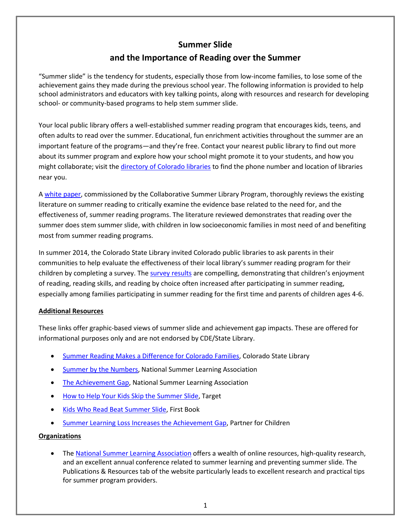## **Summer Slide**

# **and the Importance of Reading over the Summer**

"Summer slide" is the tendency for students, especially those from low-income families, to lose some of the achievement gains they made during the previous school year. The following information is provided to help school administrators and educators with key talking points, along with resources and research for developing school- or community-based programs to help stem summer slide.

Your local public library offers a well-established summer reading program that encourages kids, teens, and often adults to read over the summer. Educational, fun enrichment activities throughout the summer are an important feature of the programs—and they're free. Contact your nearest public library to find out more about its summer program and explore how your school might promote it to your students, and how you might collaborate; visit the [directory of Colorado libraries](https://www.coloradolibraries.org/) to find the phone number and location of libraries near you.

A [white paper,](http://www.cslpreads.org/wp-content/uploads/2014/10/CSLP-Summer-Reading-White-Paper-2015.pdf) commissioned by the Collaborative Summer Library Program, thoroughly reviews the existing literature on summer reading to critically examine the evidence base related to the need for, and the effectiveness of, summer reading programs. The literature reviewed demonstrates that reading over the summer does stem summer slide, with children in low socioeconomic families in most need of and benefiting most from summer reading programs.

In summer 2014, the Colorado State Library invited Colorado public libraries to ask parents in their communities to help evaluate the effectiveness of their local library's summer reading program for their children by completing a survey. The [survey results](http://www.lrs.org/fast-facts-reports/summer-reading-makes-difference-colorado-families/) are compelling, demonstrating that children's enjoyment of reading, reading skills, and reading by choice often increased after participating in summer reading, especially among families participating in summer reading for the first time and parents of children ages 4-6.

## **Additional Resources**

These links offer graphic-based views of summer slide and achievement gap impacts. These are offered for informational purposes only and are not endorsed by CDE/State Library.

- [Summer Reading Makes a Difference for Colorado Families,](http://www.lrs.org/wp-content/uploads/2015/03/332_summer_reading_2014.pdf) Colorado State Library
- [Summer by the Numbers,](https://www.summerlearning.org/wp-content/uploads/2017/08/SummerByTheNumbers-1.pdf) National Summer Learning Association
- [The Achievement Gap,](http://www.summerlearning.org/wp-content/uploads/2016/06/AchievementGapInfographic.pdf) National Summer Learning Association
- [How to Help Your Kids Skip the Summer Slide,](http://www.abullseyeview.com/2012/06/infographic-help-your-kids-skip-the-summer-slide/) Target
- [Kids Who Read Beat Summer Slide,](https://prnewswire2-a.akamaihd.net/p/1893751/sp/189375100/thumbnail/entry_id/0_401z4w0m/def_height/2700/def_width/2700/version/100012/type/1) First Book
- [Summer Learning Loss Increases the Achievement Gap,](http://www.summermatters.net/summer-learning-loss-increases-the-achievement-gap-diagram/) Partner for Children

## **Organizations**

• Th[e National Summer Learning Association](http://www.summerlearning.org/) offers a wealth of online resources, high-quality research, and an excellent annual conference related to summer learning and preventing summer slide. The Publications & Resources tab of the website particularly leads to excellent research and practical tips for summer program providers.